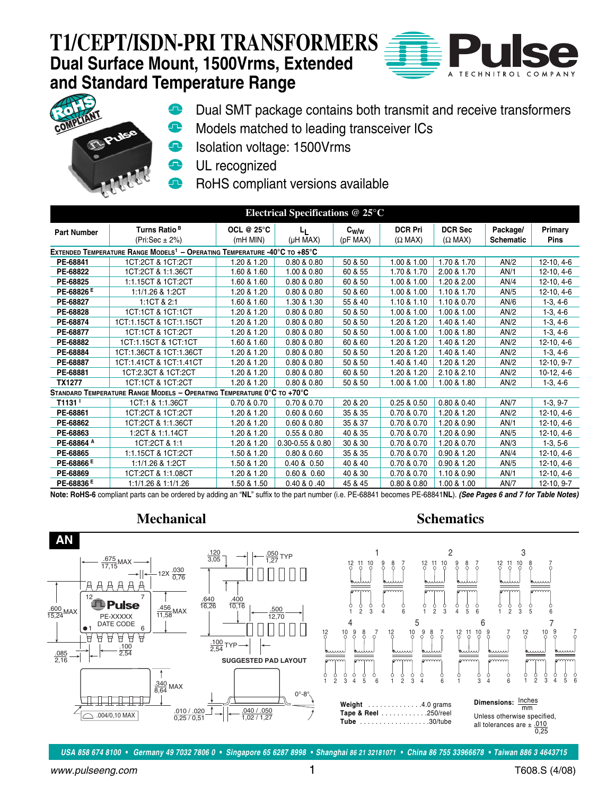### **T1/CEPT/ISDN-PRI TRANSFORMERS Dual Surface Mount, 1500Vrms, Extended and Standard Temperature Range**

 $\bullet$ 





- Dual SMT package contains both transmit and receive transformers
- ⊕ Models matched to leading transceiver ICs
- Isolation voltage: 1500Vrms  $\bullet$
- UL recognized  $\bullet$ 
	- RoHS compliant versions available

| Electrical Specifications $@25°C$                                                     |                                                                        |                               |                  |                                |                                  |                                  |                              |                        |  |
|---------------------------------------------------------------------------------------|------------------------------------------------------------------------|-------------------------------|------------------|--------------------------------|----------------------------------|----------------------------------|------------------------------|------------------------|--|
| <b>Part Number</b>                                                                    | Turns Ratio <sup>B</sup><br>(Pri:Sec $\pm$ 2%)                         | <b>OCL @ 25°C</b><br>(mH MIN) | Ч.<br>(µH MAX)   | $\mathrm{c_{w/w}}$<br>(pF MAX) | <b>DCR Pri</b><br>$(\Omega$ MAX) | <b>DCR Sec</b><br>$(\Omega$ MAX) | Package/<br><b>Schematic</b> | Primary<br><b>Pins</b> |  |
| EXTENDED TEMPERATURE RANGE MODELS <sup>1</sup> - OPERATING TEMPERATURE -40°C TO +85°C |                                                                        |                               |                  |                                |                                  |                                  |                              |                        |  |
| PE-68841                                                                              | 1CT:2CT & 1CT:2CT                                                      | 1.20 & 1.20                   | 0.80 & 0.80      | 50 & 50                        | 1.00 & 1.00                      | 1.70 & 1.70                      | AN/2                         | $12-10, 4-6$           |  |
| PE-68822                                                                              | 1CT:2CT & 1:1.36CT                                                     | 1.60 & 1.60                   | 1.00 & 0.80      | 60 & 55                        | 1.70 & 1.70                      | 2.00 & 1.70                      | AN/1                         | 12-10, 4-6             |  |
| PE-68825                                                                              | 1:1.15CT & 1CT:2CT                                                     | 1.60 & 1.60                   | 0.80 & 0.80      | 60 & 50                        | 1.00 & 1.00                      | 1.20 & 2.00                      | AN/4                         | 12-10, 4-6             |  |
| PE-68826 <sup>E</sup>                                                                 | 1:1/1.26 & 1:2CT                                                       | 1.20 & 1.20                   | 0.80 & 0.80      | 50 & 60                        | 1.00 & 1.00                      | 1.10 & 1.70                      | AN/5                         | 12-10, 4-6             |  |
| PE-68827                                                                              | 1:1CT & 2:1                                                            | 1.60 & 1.60                   | 1.30 & 1.30      | 55 & 40                        | 1.10 & 1.10                      | 1.10 & 0.70                      | AN/6                         | $1-3, 4-6$             |  |
| PE-68828                                                                              | 1CT:1CT & 1CT:1CT                                                      | 1.20 & 1.20                   | 0.80 & 0.80      | 50 & 50                        | 1.00 & 1.00                      | 1.00 & 1.00                      | AN/2                         | $1-3, 4-6$             |  |
| PE-68874                                                                              | 1CT:1.15CT & 1CT:1.15CT                                                | 1.20 & 1.20                   | 0.80 & 0.80      | 50 & 50                        | 1.20 & 1.20                      | 1.40 & 1.40                      | AN/2                         | $1-3, 4-6$             |  |
| PE-68877                                                                              | 1CT:1CT & 1CT:2CT                                                      | 1.20 & 1.20                   | 0.80 & 0.80      | 50 & 50                        | 1.00 & 1.00                      | 1.00 & 1.80                      | AN/2                         | $1-3, 4-6$             |  |
| PE-68882                                                                              | 1CT:1.15CT & 1CT:1CT                                                   | 1.60 & 1.60                   | 0.80 & 0.80      | 60 & 60                        | 1.20 & 1.20                      | 1.40 & 1.20                      | AN/2                         | $12-10, 4-6$           |  |
| PE-68884                                                                              | 1CT:1.36CT & 1CT:1.36CT                                                | 1.20 & 1.20                   | 0.80 & 0.80      | 50 & 50                        | 1.20 & 1.20                      | 1.40 & 1.40                      | AN/2                         | $1-3, 4-6$             |  |
| PE-68887                                                                              | 1CT:1.41CT & 1CT:1.41CT                                                | 1.20 & 1.20                   | 0.80 & 0.80      | 50 & 50                        | 1.40 & 1.40                      | 1.20 & 1.20                      | AN/2                         | 12-10, 9-7             |  |
| PE-68881                                                                              | 1CT:2.3CT & 1CT:2CT                                                    | 1.20 & 1.20                   | 0.80 & 0.80      | 60 & 50                        | 1.20 & 1.20                      | 2.10 & 2.10                      | AN/2                         | $10-12, 4-6$           |  |
| TX1277                                                                                | 1CT:1CT & 1CT:2CT                                                      | 1.20 & 1.20                   | 0.80 & 0.80      | 50 & 50                        | 1.00 & 1.00                      | 1.00 & 1.80                      | AN/2                         | $1-3, 4-6$             |  |
|                                                                                       | STANDARD TEMPERATURE RANGE MODELS - OPERATING TEMPERATURE 0°C TO +70°C |                               |                  |                                |                                  |                                  |                              |                        |  |
|                                                                                       | 1CT:1 & 1:1.36CT                                                       | 0.70 & 0.70                   | 0.70 & 0.70      | 20 & 20                        | 0.25 & 0.50                      | 0.80 & 0.40                      | AN/7                         | $1-3, 9-7$             |  |
| PE-68861                                                                              | 1CT:2CT & 1CT:2CT                                                      | 1.20 & 1.20                   | 0.60 & 0.60      | 35 & 35                        | 0.70 & 0.70                      | 1.20 & 1.20                      | AN/2                         | $12-10, 4-6$           |  |
| PE-68862                                                                              | 1CT:2CT & 1:1.36CT                                                     | 1.20 & 1.20                   | 0.60 & 0.80      | 35 & 37                        | 0.70 & 0.70                      | 1.20 & 0.90                      | AN/1                         | $12-10, 4-6$           |  |
| PE-68863                                                                              | 1:2CT & 1:1.14CT                                                       | 1.20 & 1.20                   | 0.55 & 0.80      | 40 & 35                        | 0.70 & 0.70                      | 1.20 & 0.90                      | AN/5                         | 12-10, 4-6             |  |
| PE-68864 A                                                                            | 1CT:2CT & 1:1                                                          | 1.20 & 1.20                   | 0.30-0.55 & 0.80 | 30 & 30                        | 0.70 & 0.70                      | 1.20 & 0.70                      | AN/3                         | $1-3, 5-6$             |  |
| PE-68865                                                                              | 1:1.15CT & 1CT:2CT                                                     | 1.50 & 1.20                   | 0.80 & 0.60      | 35 & 35                        | 0.70 & 0.70                      | 0.90 & 1.20                      | AN/4                         | $12-10, 4-6$           |  |
| PE-68866 <sup>E</sup>                                                                 | 1:1/1.26 & 1:2CT                                                       | 1.50 & 1.20                   | 0.40 & 0.50      | 40 & 40                        | 0.70 & 0.70                      | 0.90 & 1.20                      | AN/5                         | $12-10, 4-6$           |  |
| PE-68869                                                                              | 1CT:2CT & 1:1.08CT                                                     | 1.20 & 1.20                   | 0.60 & 0.60      | 40 & 30                        | 0.70 & 0.70                      | 1.10 & 0.90                      | AN/1                         | $12-10, 4-6$           |  |
| PE-68836 <sup>E</sup>                                                                 | 1:1/1.26 & 1:1/1.26                                                    | 1.50 & 1.50                   | 0.40 & 0.40      | 45 & 45                        | 0.80 & 0.80                      | 1.00 & 1.00                      | AN/7                         | $12 - 10.9 - 7$        |  |

**Note: RoHS-6** compliant parts can be ordered by adding an "**NL**" suffix to the part number (i.e. PE-68841 becomes PE-68841**NL**). **(See Pages 6 and 7 for Table Notes)**



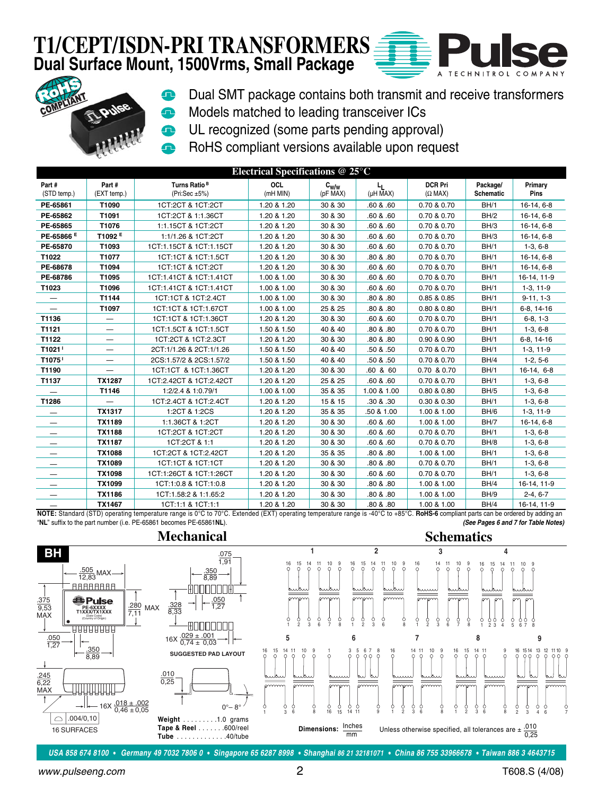#### **T1/CEPT/ISDN-PRI TRANSFORMERS Dual Surface Mount, 1500Vrms, Small Package**

e





- Dual SMT package contains both transmit and receive transformers
- Models matched to leading transceiver ICs Ω
- **UL recognized (some parts pending approval)** 
	- RoHS compliant versions available upon request

|                                 | Electrical Specifications $@$ 25 $°C$ |                                                  |                      |                       |                                            |                                  |                              |                        |
|---------------------------------|---------------------------------------|--------------------------------------------------|----------------------|-----------------------|--------------------------------------------|----------------------------------|------------------------------|------------------------|
| Part#<br>(STD temp.)            | Part#<br>(EXT temp.)                  | Turns Ratio <sup>B</sup><br>(Pri:Sec $\pm 5\%$ ) | OCL<br>$(mH$ MIN $)$ | $c_{w/w}$<br>(pF MAX) | L <sub>L</sub><br>$(\mu H \overline{M}AX)$ | <b>DCR Pri</b><br>$(\Omega$ MAX) | Package/<br><b>Schematic</b> | Primary<br><b>Pins</b> |
| PE-65861                        | T1090                                 | 1CT:2CT & 1CT:2CT                                | 1.20 & 1.20          | 30 & 30               | .60 & .60                                  | 0.70 & 0.70                      | BH/1                         | 16-14, 6-8             |
| PE-65862                        | T1091                                 | 1CT:2CT & 1:1.36CT                               | 1.20 & 1.20          | 30 & 30               | .60 & 0.60                                 | 0.70 & 0.70                      | BH/2                         | 16-14, 6-8             |
| PE-65865                        | T1076                                 | 1:1.15CT & 1CT:2CT                               | 1.20 & 1.20          | 30 & 30               | .60 & .60                                  | 0.70 & 0.70                      | BH/3                         | 16-14, 6-8             |
| PE-65866 E                      | T1092 <sup>E</sup>                    | 1:1/1.26 & 1CT:2CT                               | 1.20 & 1.20          | 30 & 30               | .60 & .60                                  | 0.70 & 0.70                      | BH/3                         | 16-14, 6-8             |
| PE-65870                        | T1093                                 | 1CT:1.15CT & 1CT:1.15CT                          | 1.20 & 1.20          | 30 & 30               | .60 & .60                                  | 0.70 & 0.70                      | BH/1                         | $1-3, 6-8$             |
| T1022                           | T1077                                 | 1CT:1CT & 1CT:1.5CT                              | 1.20 & 1.20          | 30 & 30               | .80 & .80                                  | 0.70 & 0.70                      | BH/1                         | 16-14, 6-8             |
| PE-68678                        | T1094                                 | 1CT:1CT & 1CT:2CT                                | 1.20 & 1.20          | 30 & 30               | .60 & .60                                  | 0.70 & 0.70                      | BH/1                         | 16-14, 6-8             |
| PE-68786                        | T1095                                 | 1CT:1.41CT & 1CT:1.41CT                          | 1.00 & 1.00          | 30 & 30               | .60 & .60                                  | 0.70 & 0.70                      | BH/1                         | 16-14, 11-9            |
| T1023                           | T1096                                 | 1CT:1.41CT & 1CT:1.41CT                          | 1.00 & 1.00          | 30 & 30               | .60 & .60                                  | 0.70 & 0.70                      | BH/1                         | $1-3, 11-9$            |
|                                 | T1144                                 | 1CT:1CT & 1CT:2.4CT                              | 1.00 & 1.00          | 30 & 30               | .80 & .80                                  | 0.85 & 0.85                      | BH/1                         | $9-11, 1-3$            |
| $\qquad \qquad \longleftarrow$  | T1097                                 | 1CT:1CT & 1CT:1.67CT                             | 1.00 & 1.00          | 25 & 25               | .80 & .80                                  | 0.80 & 0.80                      | BH/1                         | 6-8, 14-16             |
| T1136                           | $\qquad \qquad -$                     | 1CT:1CT & 1CT:1.36CT                             | 1.20 & 1.20          | 30 & 30               | .60 & .60                                  | 0.70 & 0.70                      | BH/1                         | $6-8, 1-3$             |
| T1121                           | —                                     | 1CT:1.5CT & 1CT:1.5CT                            | 1.50 & 1.50          | 40 & 40               | .80 & .80                                  | 0.70 & 0.70                      | BH/1                         | $1-3, 6-8$             |
| T1122                           | —                                     | 1CT:2CT & 1CT:2.3CT                              | 1.20 & 1.20          | 30 & 30               | .80 & .80                                  | 0.90 & 0.90                      | BH/1                         | 6-8, 14-16             |
| T1021 <sup>1</sup>              | —                                     | 2CT:1/1.26 & 2CT:1/1.26                          | 1.50 & 1.50          | 40 & 40               | .50 & .50                                  | 0.70 & 0.70                      | BH/1                         | $1-3, 11-9$            |
| T1075 <sup>1</sup>              | —                                     | 2CS:1.57/2 & 2CS:1.57/2                          | 1.50 & 1.50          | 40 & 40               | .50 & .50                                  | 0.70 & 0.70                      | BH/4                         | $1-2, 5-6$             |
| T1190                           | —                                     | 1CT:1CT & 1CT:1.36CT                             | 1.20 & 1.20          | 30 & 30               | .60 & 60                                   | 0.70 & 0.70                      | BH/1                         | 16-14, 6-8             |
| T1137                           | <b>TX1287</b>                         | 1CT:2.42CT & 1CT:2.42CT                          | 1.20 & 1.20          | 25 & 25               | .60 & .60                                  | 0.70 & 0.70                      | BH/1                         | $1-3, 6-8$             |
| $\hspace{0.1mm}-\hspace{0.1mm}$ | T1146                                 | 1:2/2.4 & 1:0.79/1                               | 1.00 & 1.00          | 35 & 35               | 1.00 & 1.00                                | 0.80 & 0.80                      | BH/5                         | $1-3, 6-8$             |
| T1286                           |                                       | 1CT:2.4CT & 1CT:2.4CT                            | 1.20 & 1.20          | 15 & 15               | .30 & .30                                  | 0.30 & 0.30                      | BH/1                         | $1-3, 6-8$             |
|                                 | <b>TX1317</b>                         | 1:2CT & 1:2CS                                    | 1.20 & 1.20          | 35 & 35               | .50 & 1.00                                 | 1.00 & 1.00                      | BH/6                         | $1-3, 11-9$            |
| $\overline{\phantom{m}}$        | <b>TX1189</b>                         | 1:1.36CT & 1:2CT                                 | 1.20 & 1.20          | 30 & 30               | .60 & .60                                  | 1.00 & 1.00                      | BH/7                         | 16-14, 6-8             |
| $\hspace{0.1mm}-\hspace{0.1mm}$ | <b>TX1188</b>                         | 1CT:2CT & 1CT:2CT                                | 1.20 & 1.20          | 30 & 30               | .60 & .60                                  | 0.70 & 0.70                      | BH/1                         | $1-3, 6-8$             |
| $\qquad \qquad -$               | <b>TX1187</b>                         | 1CT:2CT & 1:1                                    | 1.20 & 1.20          | 30 & 30               | .60 & .60                                  | 0.70 & 0.70                      | BH/8                         | $1-3, 6-8$             |
| $\overline{\phantom{m}}$        | <b>TX1088</b>                         | 1CT:2CT & 1CT:2.42CT                             | 1.20 & 1.20          | 35 & 35               | .80 & .80                                  | 1.00 & 1.00                      | BH/1                         | $1-3, 6-8$             |
|                                 | <b>TX1089</b>                         | 1CT:1CT & 1CT:1CT                                | 1.20 & 1.20          | 30 & 30               | .80 & .80                                  | 0.70 & 0.70                      | BH/1                         | $1-3, 6-8$             |
|                                 | <b>TX1098</b>                         | 1CT:1:26CT & 1CT:1:26CT                          | 1.20 & 1.20          | 30 & 30               | .60 & .60                                  | 0.70 & 0.70                      | BH/1                         | $1-3, 6-8$             |
| $\qquad \qquad -$               | <b>TX1099</b>                         | 1CT:1:0.8 & 1CT:1:0.8                            | 1.20 & 1.20          | 30 & 30               | .80 & .80                                  | 1.00 & 1.00                      | BH/4                         | 16-14, 11-9            |
| $\qquad \qquad -$               | <b>TX1186</b>                         | 1CT:1.58:2 & 1:1.65:2                            | 1.20 & 1.20          | 30 & 30               | .80 & .80                                  | 1.00 & 1.00                      | BH/9                         | $2-4, 6-7$             |
|                                 | TX1467                                | 1CT:1:1 & 1CT:1:1                                | 1.20 & 1.20          | 30 & 30               | .80 & .80                                  | 1.00 & 1.00                      | BH/4                         | 16-14.11-9             |

**(See Pages 6 and 7 for Table Notes)** <u>2641, 16-14, 16-14, 16-14, 16-14, 11-9</u> 1.20 & 1.20 and 1.20 & 1.20 and 1.20 & 1.20 and 2.80 and 2.80 and 2.80 and 2.<br>NOTE: Standard (STD) operating temperature range is 0°C to 70°C. Extended (EXT) operating temperature "**NL**" suffix to the part number (i.e. PE-65861 becomes PE-65861**NL**).





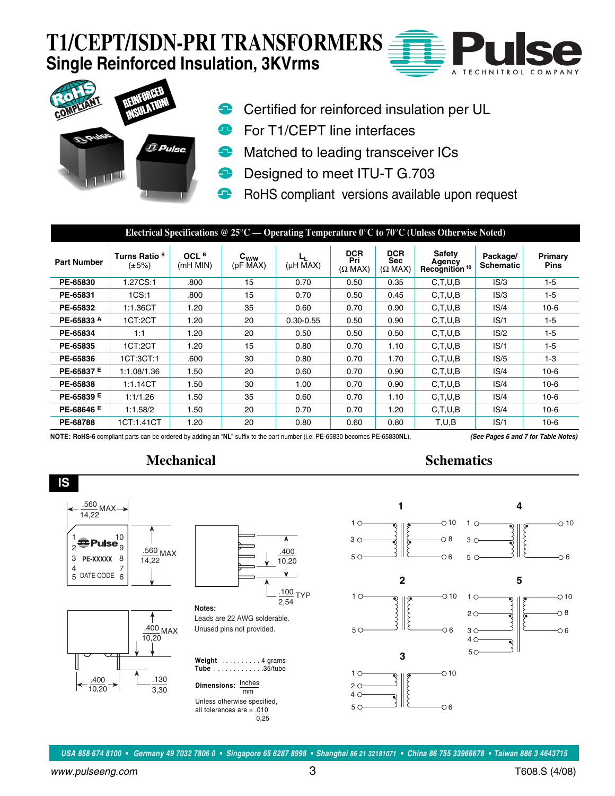# **T1/CEPT/ISDN-PRI TRANSFORMERS Single Reinforced Insulation, 3KVrms**





- Certified for reinforced insulation per UL
- For T1/CEPT line interfaces
- Matched to leading transceiver ICs ⊕
- Designed to meet ITU-T G.703 Q
- RoHS compliant versions available upon request

| Electrical Specifications @ 25°C — Operating Temperature $0^{\circ}$ C to 70°C (Unless Otherwise Noted) |                                         |                              |                                   |                               |                                     |                                            |                                               |                              |                        |
|---------------------------------------------------------------------------------------------------------|-----------------------------------------|------------------------------|-----------------------------------|-------------------------------|-------------------------------------|--------------------------------------------|-----------------------------------------------|------------------------------|------------------------|
| <b>Part Number</b>                                                                                      | Turns Ratio <sup>B</sup><br>$(\pm 5\%)$ | OCL <sup>B</sup><br>(mH MIN) | $c_{w/w}$<br>$(pF\overline{MAX})$ | ட<br>$(\mu H \overline{M}AX)$ | <b>DCR</b><br>Pri<br>$(\Omega$ MAX) | <b>DCR</b><br><b>Sec</b><br>$(\Omega$ MAX) | Safety<br>Agency<br>Recognition <sup>10</sup> | Package/<br><b>Schematic</b> | Primary<br><b>Pins</b> |
| PE-65830                                                                                                | 1.27CS:1                                | .800                         | 15                                | 0.70                          | 0.50                                | 0.35                                       | C, T, U, B                                    | IS/3                         | $1-5$                  |
| PE-65831                                                                                                | 1CS:1                                   | .800                         | 15                                | 0.70                          | 0.50                                | 0.45                                       | C, T, U, B                                    | IS/3                         | $1-5$                  |
| PE-65832                                                                                                | 1:1.36CT                                | 1.20                         | 35                                | 0.60                          | 0.70                                | 0.90                                       | C, T, U, B                                    | IS/4                         | $10-6$                 |
| PE-65833 A                                                                                              | 1CT:2CT                                 | 1.20                         | 20                                | $0.30 - 0.55$                 | 0.50                                | 0.90                                       | C, T, U, B                                    | IS/1                         | $1-5$                  |
| PE-65834                                                                                                | 1:1                                     | 1.20                         | 20                                | 0.50                          | 0.50                                | 0.50                                       | C, T, U, B                                    | IS/2                         | $1-5$                  |
| PE-65835                                                                                                | 1CT:2CT                                 | 1.20                         | 15                                | 0.80                          | 0.70                                | 1.10                                       | C.T.U.B                                       | IS/1                         | $1 - 5$                |
| PE-65836                                                                                                | 1CT:3CT:1                               | .600                         | 30                                | 0.80                          | 0.70                                | 1.70                                       | C, T, U, B                                    | IS/5                         | $1-3$                  |
| PE-65837 E                                                                                              | 1:1.08/1.36                             | 1.50                         | 20                                | 0.60                          | 0.70                                | 0.90                                       | C, T, U, B                                    | IS/4                         | $10-6$                 |
| PE-65838                                                                                                | 1:1.14CT                                | 1.50                         | 30                                | 1.00                          | 0.70                                | 0.90                                       | C.T.U.B                                       | IS/4                         | $10-6$                 |
| PE-65839 E                                                                                              | 1:1/1.26                                | 1.50                         | 35                                | 0.60                          | 0.70                                | 1.10                                       | C, T, U, B                                    | IS/4                         | $10-6$                 |
| PE-68646 E                                                                                              | 1:1.58/2                                | 1.50                         | 20                                | 0.70                          | 0.70                                | 1.20                                       | C, T, U, B                                    | IS/4                         | $10-6$                 |
| PE-68788                                                                                                | 1CT:1.41CT                              | 1.20                         | 20                                | 0.80                          | 0.60                                | 0.80                                       | T.U.B                                         | IS/1                         | $10-6$                 |

**NOTE: RoHS-6** compliant parts can be ordered by adding an "**NL**" suffix to the part number (i.e. PE-65830 becomes PE-65830**NL**). **(See Pages 6 and 7 for Table Notes)**

#### **Mechanical Schematics**



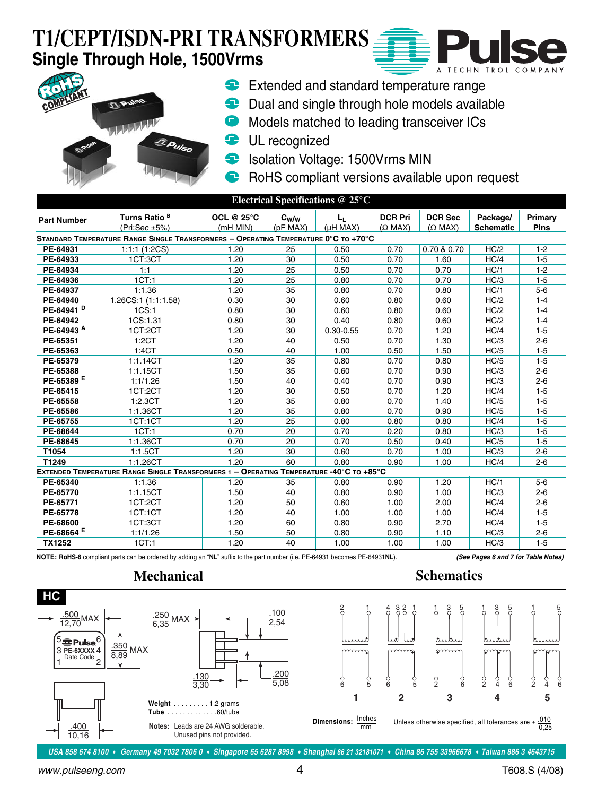# **T1/CEPT/ISDN-PRI TRANSFORMERS Single Through Hole, 1500Vrms**





- **Extended and standard temperature range**
- **Dual and single through hole models available**
- **Models matched to leading transceiver ICs**
- **UL** recognized
- **In Isolation Voltage: 1500Vrms MIN**
- RoHS compliant versions available upon request ⊕

| Electrical Specifications @ 25°C |                                                                                         |                               |                       |                                         |                                  |                                  |                              |                        |
|----------------------------------|-----------------------------------------------------------------------------------------|-------------------------------|-----------------------|-----------------------------------------|----------------------------------|----------------------------------|------------------------------|------------------------|
| <b>Part Number</b>               | Turns Ratio <sup>B</sup><br>(Pri:Sec $\pm 5\%$ )                                        | <b>OCL @ 25°C</b><br>(mH MIN) | $c_{w/w}$<br>(pF MAX) | L <sub>L</sub><br>$(\mu H \text{ MAX})$ | <b>DCR Pri</b><br>$(\Omega$ MAX) | <b>DCR Sec</b><br>$(\Omega$ MAX) | Package/<br><b>Schematic</b> | Primary<br><b>Pins</b> |
|                                  | STANDARD TEMPERATURE RANGE SINGLE TRANSFORMERS - OPERATING TEMPERATURE 0°C TO +70°C     |                               |                       |                                         |                                  |                                  |                              |                        |
| PE-64931                         | 1:1:1(1:2CS)                                                                            | 1.20                          | 25                    | 0.50                                    | 0.70                             | 0.70 & 0.70                      | HC/2                         | $1 - 2$                |
| PE-64933                         | 1CT:3CT                                                                                 | 1.20                          | 30                    | 0.50                                    | 0.70                             | 1.60                             | HC/4                         | $1 - 5$                |
| PE-64934                         | 1:1                                                                                     | 1.20                          | 25                    | 0.50                                    | 0.70                             | 0.70                             | HC/1                         | $1 - 2$                |
| PE-64936                         | 1CT:1                                                                                   | 1.20                          | 25                    | 0.80                                    | 0.70                             | 0.70                             | HC/3                         | $1 - 5$                |
| PE-64937                         | 1:1.36                                                                                  | 1.20                          | 35                    | 0.80                                    | 0.70                             | 0.80                             | HC/1                         | $5-6$                  |
| PE-64940                         | 1.26CS:1 (1:1:1.58)                                                                     | 0.30                          | 30                    | 0.60                                    | 0.80                             | 0.60                             | HC/2                         | $1 - 4$                |
| PE-64941 <sup>D</sup>            | 1CS:1                                                                                   | 0.80                          | 30                    | 0.60                                    | 0.80                             | 0.60                             | HC/2                         | $1 - 4$                |
| PE-64942                         | 1CS:1.31                                                                                | 0.80                          | 30                    | 0.40                                    | 0.80                             | 0.60                             | HC/2                         | $1 - 4$                |
| PE-64943 A                       | 1CT:2CT                                                                                 | 1.20                          | 30                    | $0.30 - 0.55$                           | 0.70                             | 1.20                             | HC/4                         | $1 - 5$                |
| PE-65351                         | 1:2CT                                                                                   | 1.20                          | 40                    | 0.50                                    | 0.70                             | 1.30                             | HC/3                         | $2 - 6$                |
| PE-65363                         | 1:4CT                                                                                   | 0.50                          | 40                    | 1.00                                    | 0.50                             | 1.50                             | HC/5                         | $1 - 5$                |
| PE-65379                         | 1:1.14CT                                                                                | 1.20                          | 35                    | 0.80                                    | 0.70                             | 0.80                             | HC/5                         | $1 - 5$                |
| PE-65388                         | 1:1.15CT                                                                                | 1.50                          | 35                    | 0.60                                    | 0.70                             | 0.90                             | HC/3                         | $2 - 6$                |
| PE-65389 <sup>E</sup>            | 1:1/1.26                                                                                | 1.50                          | 40                    | 0.40                                    | 0.70                             | 0.90                             | HC/3                         | $2 - 6$                |
| PE-65415                         | 1CT:2CT                                                                                 | 1.20                          | 30                    | 0.50                                    | 0.70                             | 1.20                             | HC/4                         | $1 - 5$                |
| PE-65558                         | 1:2.3CT                                                                                 | 1.20                          | 35                    | 0.80                                    | 0.70                             | 1.40                             | HC/5                         | $1 - 5$                |
| PE-65586                         | 1:1.36CT                                                                                | 1.20                          | 35                    | 0.80                                    | 0.70                             | 0.90                             | HC/5                         | $1 - 5$                |
| PE-65755                         | 1CT:1CT                                                                                 | 1.20                          | 25                    | 0.80                                    | 0.80                             | 0.80                             | HC/4                         | $1 - 5$                |
| PE-68644                         | 1CT:1                                                                                   | 0.70                          | 20                    | 0.70                                    | 0.20                             | 0.80                             | HC/3                         | $1 - 5$                |
| PE-68645                         | 1:1.36CT                                                                                | 0.70                          | 20                    | 0.70                                    | 0.50                             | 0.40                             | HC/5                         | $1 - 5$                |
| T1054                            | 1:1.5CT                                                                                 | 1.20                          | 30                    | 0.60                                    | 0.70                             | 1.00                             | HC/3                         | $2 - 6$                |
| T1249                            | 1:1.26CT                                                                                | 1.20                          | 60                    | 0.80                                    | 0.90                             | 1.00                             | HC/4                         | $2 - 6$                |
|                                  | EXTENDED TEMPERATURE RANGE SINGLE TRANSFORMERS 1 - OPERATING TEMPERATURE -40°C TO +85°C |                               |                       |                                         |                                  |                                  |                              |                        |
| PE-65340                         | 1:1.36                                                                                  | 1.20                          | 35                    | 0.80                                    | 0.90                             | 1.20                             | HC/1                         | $5-6$                  |
| PE-65770                         | 1:1.15CT                                                                                | 1.50                          | 40                    | 0.80                                    | 0.90                             | 1.00                             | HC/3                         | $2 - 6$                |
| PE-65771                         | 1CT:2CT                                                                                 | 1.20                          | 50                    | 0.60                                    | 1.00                             | 2.00                             | HC/4                         | $2 - 6$                |
| PE-65778                         | 1CT:1CT                                                                                 | 1.20                          | 40                    | 1.00                                    | 1.00                             | 1.00                             | HC/4                         | $1 - 5$                |
| PE-68600                         | 1CT:3CT                                                                                 | 1.20                          | 60                    | 0.80                                    | 0.90                             | 2.70                             | HC/4                         | $1 - 5$                |
| PE-68664 <sup>E</sup>            | 1:1/1.26                                                                                | 1.50                          | 50                    | 0.80                                    | 0.90                             | 1.10                             | HC/3                         | $2 - 6$                |
| <b>TX1252</b>                    | 1CT:1                                                                                   | 1.20                          | 40                    | 1.00                                    | 1.00                             | 1.00                             | HC/3                         | $1 - 5$                |

**NOTE: RoHS-6** compliant parts can be ordered by adding an "**NL**" suffix to the part number (i.e. PE-64931 becomes PE-64931**NL**). **(See Pages 6 and 7 for Table Notes)**



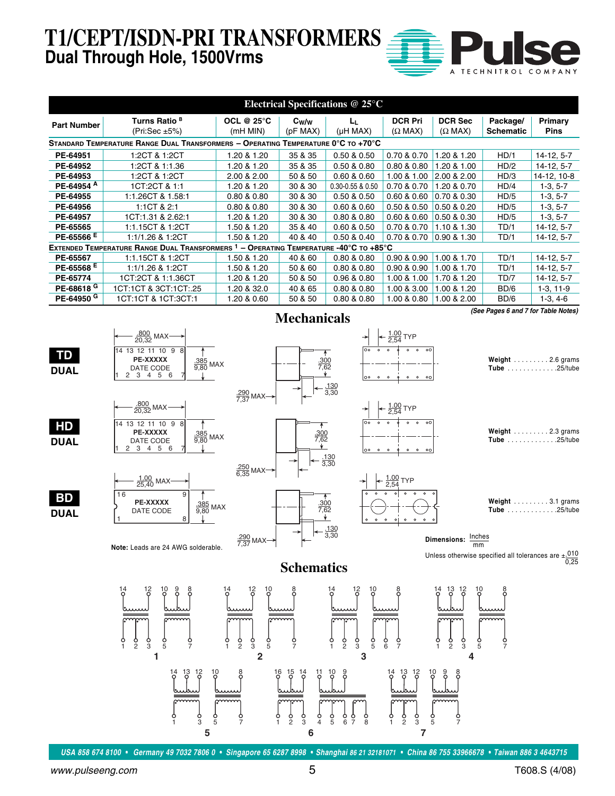**T1/CEPT/ISDN-PRI TRANSFORMER Dual Through Hole, 1500Vrms**

|  | A TECHNITROL COMPANY |
|--|----------------------|

| Electrical Specifications $@25°C$ |                                                                                   |                                  |                     |                            |                                  |                                  |                              |                 |
|-----------------------------------|-----------------------------------------------------------------------------------|----------------------------------|---------------------|----------------------------|----------------------------------|----------------------------------|------------------------------|-----------------|
| <b>Part Number</b>                | Turns Ratio <sup>B</sup><br>(Pri:Sec $\pm 5\%$ )                                  | OCL @ $25^{\circ}$ C<br>(mH MIN) | $C_W/w$<br>(pF MAX) | Lц.<br>$(\mu H MAX)$       | <b>DCR Pri</b><br>$(\Omega$ MAX) | <b>DCR Sec</b><br>$(\Omega$ MAX) | Package/<br><b>Schematic</b> | Primary<br>Pins |
|                                   | STANDARD TEMPERATURE RANGE DUAL TRANSFORMERS - OPERATING TEMPERATURE 0°C TO +70°C |                                  |                     |                            |                                  |                                  |                              |                 |
| PE-64951                          | 1:2CT & 1:2CT                                                                     | 1.20 & 1.20                      | 35 & 35             | 0.50 & 0.50                | 0.70 & 0.70                      | 1.20 & 1.20                      | HD/1                         | 14-12, 5-7      |
| PE-64952                          | 1:2CT & 1:1.36                                                                    | .20 & 1.20                       | 35 & 35             | 0.50 & 0.80                | 0.80 & 0.80                      | 1.20 & 1.00                      | HD/2                         | 14-12, 5-7      |
| PE-64953                          | 1:2CT & 1:2CT                                                                     | 2.00 & 2.00                      | 50 & 50             | 0.60 & 0.60                | 1.00 & 1.00                      | 2.00 & 2.00                      | HD/3                         | 14-12, 10-8     |
| PE-64954 A                        | 1CT:2CT & 1:1                                                                     | 1.20 & 1.20                      | 30 & 30             | $0.30 - 0.55$ & $0.50$     | 0.70 & 0.70                      | 1.20 & 0.70                      | HD/4                         | $1-3, 5-7$      |
| PE-64955                          | 1:1.26CT & 1.58:1                                                                 | 0.80 & 0.80                      | 30 & 30             | 0.50 & 0.50                | 0.60 & 0.60                      | 0.70 & 0.30                      | HD/5                         | $1-3, 5-7$      |
| PE-64956                          | 1:1CT & 2:1                                                                       | 0.80 & 0.80                      | 30 & 30             | 0.60 & 0.60                | 0.50 & 0.50                      | 0.50 & 0.20                      | HD/5                         | $1-3, 5-7$      |
| PE-64957                          | 1CT:1.31 & 2.62:1                                                                 | 1.20 & 1.20                      | 30 & 30             | 0.80 & 0.80                | 0.60 & 0.60                      | 0.50 & 0.30                      | HD/5                         | $1-3, 5-7$      |
| PE-65565                          | 1:1.15CT & 1:2CT                                                                  | .50 & 1.20                       | 35 & 40             | 0.60 & 0.50                | 0.70 & 0.70                      | 1.10 & 1.30                      | TD/1                         | $14-12, 5-7$    |
| PE-65566 <sup>E</sup>             | 1:1/1.26 & 1:2CT                                                                  | 1.50 & 1.20                      | 40 & 40             | 0.50 & 0.40                | 0.70 & 0.70                      | 0.90 & 1.30                      | TD/1                         | 14-12, 5-7      |
|                                   | <b>EXTENDED TEMPERATURE RANGE DUAL TRANSFORMERS 1</b>                             | $-$ OPERATING                    |                     | TEMPERATURE -40°C TO +85°C |                                  |                                  |                              |                 |
| PE-65567                          | 1:1.15CT & 1:2CT                                                                  | 1.50 & 1.20                      | 40 & 60             | 0.80 & 0.80                | 0.90 & 0.90                      | 1.00 & 1.70                      | TD/1                         | 14-12, 5-7      |
| PE-65568 <sup>E</sup>             | 1:1/1.26 & 1:2CT                                                                  | 1.50 & 1.20                      | 50 & 60             | 0.80 & 0.80                | 0.90 & 0.90                      | 1.00 & 1.70                      | TD/1                         | 14-12, 5-7      |
| PE-65774                          | 1CT:2CT & 1:1.36CT                                                                | 1.20 & 1.20                      | 50 & 50             | 0.96 & 0.80                | 1.00 & 1.00                      | 1.70 & 1.20                      | <b>TD/7</b>                  | 14-12, 5-7      |
| PE-68618 G                        | 1CT:1CT & 3CT:1CT:.25                                                             | 1.20 & 32.0                      | 40 & 65             | 0.80 & 0.80                | 1.00 & 3.00                      | 1.00 & 1.20                      | BD/6                         | $1-3, 11-9$     |
| PE-64950 <sup>G</sup>             | 1CT:1CT & 1CT:3CT:1                                                               | 1.20 & 0.60                      | 50 & 50             | 0.80 & 0.80                | 1.00 & 0.80                      | 1.00 & 2.00                      | BD/6                         | $1-3.4-6$       |

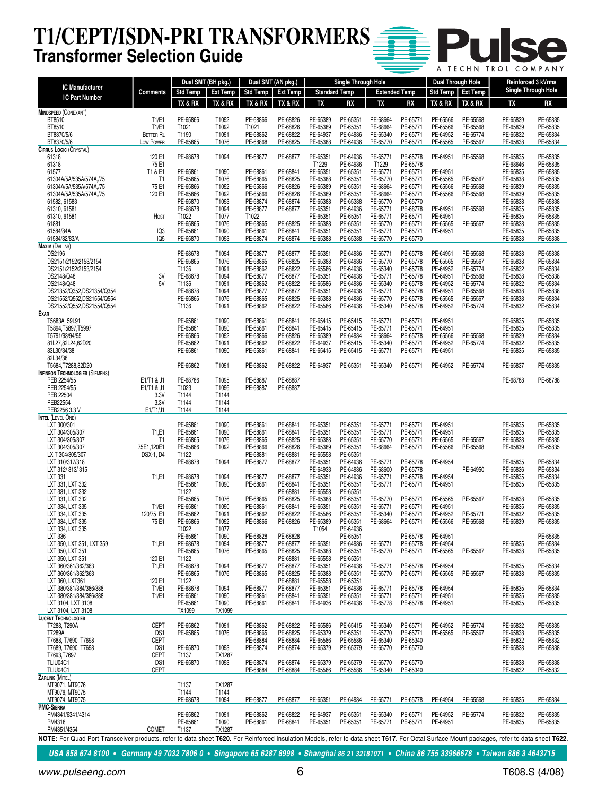### **T1/CEPT/ISDN-PRI TRANSFORMERS Transformer Selection Guide**

|  | A TECHNITROL COMPANY |
|--|----------------------|

| <b>IC Manufacturer</b>                                                                                                                                                                                     |                                          | Dual SMT (BH pkg.)   |                        | Dual SMT (AN pkg.)   |                      |                      | <b>Single Through Hole</b> |                      |                      | Dual Through Hole    |                      | Reinforced 3 kVrms         |                      |
|------------------------------------------------------------------------------------------------------------------------------------------------------------------------------------------------------------|------------------------------------------|----------------------|------------------------|----------------------|----------------------|----------------------|----------------------------|----------------------|----------------------|----------------------|----------------------|----------------------------|----------------------|
| <b>IC Part Number</b>                                                                                                                                                                                      | Comments                                 | <b>Std Temp</b>      | <b>Ext Temp</b>        | Std Temp   Ext Temp  |                      | <b>Standard Temp</b> |                            | <b>Extended Temp</b> |                      |                      | Std Temp   Ext Temp  | <b>Single Through Hole</b> |                      |
|                                                                                                                                                                                                            |                                          | TX & RX              | TX & RX                | TX & RX              | TX & RX              | TX                   | RX                         | TX                   | RX                   | TX & RX              | TX & RX              | TX                         | RX                   |
| <b>MINDSPEED (CONEXANT)</b><br>BT8510                                                                                                                                                                      | T1/E1                                    | PE-65866             | T1092                  | PE-68866             | PE-68826             | PE-65389             | PE-65351                   | PE-68664             | PE-65771             | PE-65566             | PE-65568             | PE-65839                   | PE-65835             |
| BT8510                                                                                                                                                                                                     | T1/E1                                    | T1021                | T1092                  | T1021                | PE-68826             | PE-65389             | PE-65351                   | PE-68664             | PE-65771             | PE-65566             | PE-65568             | PE-65839                   | PE-65835             |
| BT8370/5/6                                                                                                                                                                                                 | <b>BETTER RL</b>                         | T1190                | T1091                  | PE-68862             | PE-68822             | PE-64937             | PE-64936                   | PE-65340             | PE-65771             | PE-64952             | PE-65774             | PE-65832                   | PE-65834             |
| BT8370/5/6<br><b>CIRRUS LOGIC (CRYSTAL)</b>                                                                                                                                                                | Low Power                                | PE-65865             | T1076                  | PE-68868             | PE-68825             | PE-65388             | PE-64936                   | PE-65770             | PE-65771             | PE-65565             | PE-65567             | PE-65838                   | PE-65834             |
| 61318                                                                                                                                                                                                      | 120 E1                                   | PE-68678             | T1094                  | PE-68877             | PE-68877             | PE-65351             | PE-64936                   | PE-65771             | PE-65778             | PE-64951             | PE-65568             | PE-65835                   | PE-65835             |
| 61318                                                                                                                                                                                                      | 75 E1                                    |                      |                        |                      |                      | T1229                | PE-64936                   | T1229                | PE-65778             |                      |                      | PE-68646                   | PE-65835             |
| 61577                                                                                                                                                                                                      | T1 & E1                                  | PE-65861             | T1090                  | PE-68861             | PE-68841             | PE-65351             | PE-65351                   | PE-65771             | PE-65771             | PE-64951             |                      | PE-65835                   | PE-65835             |
| 61304A/5A/535A/574A,/75<br>61304A/5A/535A/574A,/75                                                                                                                                                         | T1<br>75 E1                              | PE-65865<br>PE-65866 | T1076<br>T1092         | PE-68865<br>PE-65866 | PE-68825<br>PE-68826 | PE-65388<br>PE-65389 | PE-65351<br>PE-65351       | PE-65770<br>PE-68664 | PE-65771<br>PE-65771 | PE-65565<br>PE-65566 | PE-65567<br>PE-65568 | PE-65838<br>PE-65839       | PE-65835<br>PE-65835 |
| 61304A/5A/535A/574A./75                                                                                                                                                                                    | 120 E1                                   | PE-65866             | T1092                  | PE-65866             | PE-68826             | PE-65389             | PE-65351                   | PE-68664             | PE-65771             | PE-65566             | PE-65568             | PE-65839                   | PE-65835             |
| 61582, 61583                                                                                                                                                                                               |                                          | PE-65870             | T1093                  | PE-68874             | PE-68874             | PE-65388             | PE-65388                   | PE-65770             | PE-65770             |                      |                      | PE-65838                   | PE-65838             |
| 61310, 61581<br>61310, 61581                                                                                                                                                                               | HOST                                     | PE-68678<br>T1022    | T1094<br>T1077         | PE-68877<br>T1022    | PE-68877             | PE-65351<br>PE-65351 | PE-64936<br>PE-65351       | PE-65771<br>PE-65771 | PE-68778<br>PE-65771 | PE-64951<br>PE-64951 | PE-65568             | PE-65835<br>PE-65835       | PE-65835<br>PE-65835 |
| 61881                                                                                                                                                                                                      |                                          | PE-65865             | T1076                  | PE-68865             | PE-68825             | PE-65388             | PE-65351                   | PE-65770             | PE-65771             | PE-65565             | PE-65567             | PE-65838                   | PE-65835             |
| 61584/84A                                                                                                                                                                                                  | IQ3                                      | PE-65861             | T1090                  | PE-68861             | PE-68841             | PE-65351             | PE-65351                   | PE-65771             | PE-65771             | PE-64951             |                      | PE-65835                   | PE-65835             |
| 61584/82/83/A                                                                                                                                                                                              | IQ <sub>5</sub>                          | PE-65870             | T1093                  | PE-68874             | PE-68874             | PE-65388             | PE-65388                   | PE-65770             | PE-65770             |                      |                      | PE-65838                   | PE-65838             |
| <b>MAXIM (DALLAS)</b><br>DS2196                                                                                                                                                                            |                                          | PE-68678             | T1094                  | PE-68877             | PE-68877             | PE-65351             | PE-64936                   | PE-65771             | PE-65778             | PE-64951             | PE-65568             | PE-65838                   | PE-65838             |
| DS2151/2152/2153/2154                                                                                                                                                                                      |                                          | PE-65865             | T1076                  | PE-68865             | PE-68825             | PE-65388             | PE-64936                   | PE-65770             | PE-65778             | PE-65565             | PE-65567             | PE-65838                   | PE-65834             |
| DS2151/2152/2153/2154                                                                                                                                                                                      |                                          | T1136                | T1091                  | PE-68862             | PE-68822             | PE-65586             | PE-64936                   | PE-65340             | PE-65778             | PE-64952             | PE-65774             | PE-65832                   | PE-65834             |
| DS2148/Q48                                                                                                                                                                                                 | 3V<br>5V                                 | PE-68678             | T1094                  | PE-68877             | PE-68877             | PE-65351             | PE-64936<br>PE-64936       | PE-65771             | PE-65778             | PE-64951             | PE-65568             | PE-65838                   | PE-65838             |
| DS2148/Q48<br>DS21352/Q352,DS21354/Q354                                                                                                                                                                    |                                          | T1136<br>PE-68678    | T1091<br>T1094         | PE-68862<br>PE-68877 | PE-68822<br>PE-68877 | PE-65586<br>PE-65351 | PE-64936                   | PE-65340<br>PE-65771 | PE-65778<br>PE-65778 | PE-64952<br>PE-64951 | PE-65774<br>PE-65568 | PE-65832<br>PE-65838       | PE-65834<br>PE-65838 |
| DS21552/Q552,DS21554/Q554                                                                                                                                                                                  |                                          | PE-65865             | T1076                  | PE-68865             | PE-68825             | PE-65388             | PE-64936                   | PE-65770             | PE-65778             | PE-65565             | PE-65567             | PE-65838                   | PE-65834             |
| DS21552/Q552,DS21554/Q554                                                                                                                                                                                  |                                          | T1136                | T1091                  | PE-68862             | PE-68822             | PE-65586             | PE-64936                   | PE-65340             | PE-65778             | PE-64952             | PE-65774             | PE-65832                   | PE-65834             |
| <b>Exar</b>                                                                                                                                                                                                |                                          | PE-65861             | T1090                  | PE-68861             | PE-68841             | PE-65415             | PE-65415                   | PE-65771             | PE-65771             | PE-64951             |                      |                            | PE-65835             |
| T5683A, 59L91<br>T5894,T5897,T5997                                                                                                                                                                         |                                          | PE-65861             | T1090                  | PE-65861             | PE-68841             | PE-65415             | PE-65415                   | PE-65771             | PE-65771             | PE-64951             |                      | PE-65835<br>PE-65835       | PE-65835             |
| T5791/93/94/95                                                                                                                                                                                             |                                          | PE-65866             | T1092                  | PE-68866             | PE-68826             | PE-65389             | PE-64934                   | PE-68664             | PE-65778             | PE-65566             | PE-65568             | PE-65839                   | PE-65834             |
| 81L27,82L24,82D20                                                                                                                                                                                          |                                          | PE-65862             | T1091                  | PE-68862             | PE-68822             | PE-64937             | PE-65415                   | PE-65340             | PE-65771             | PE-64952             | PE-65774             | PE-65832                   | PE-65835             |
| 83L30/34/38<br>82L34/38                                                                                                                                                                                    |                                          | PE-65861             | T1090                  | PE-65861             | PE-68841             | PE-65415             | PE-65415                   | PE-65771             | PE-65771             | PE-64951             |                      | PE-65835                   | PE-65835             |
| T5684, T7288, 82D20                                                                                                                                                                                        |                                          | PE-65862             | T1091                  | PE-68862             | PE-68822             | PE-64937             | PE-65351                   | PE-65340             | PE-65771             | PE-64952             | PE-65774             | PE-65837                   | PE-65835             |
| <b>INFINEON TECHNOLOGIES (SIEMENS)</b>                                                                                                                                                                     |                                          |                      |                        |                      |                      |                      |                            |                      |                      |                      |                      |                            |                      |
| PEB 2254/55                                                                                                                                                                                                | E1/T1 & J1                               | PE-68786             | T1095                  | PE-68887             | PE-68887             |                      |                            |                      |                      |                      |                      | PE-68788                   | PE-68788             |
| PEB 2254/55<br>PEB 22504                                                                                                                                                                                   | E1/T1 & J1<br>3.3V                       | T1023<br>T1144       | T1096<br>T1144         | PE-68887             | PE-68887             |                      |                            |                      |                      |                      |                      |                            |                      |
| PEB22554                                                                                                                                                                                                   | 3.3V                                     | T1144                | T1144                  |                      |                      |                      |                            |                      |                      |                      |                      |                            |                      |
| PEB2256 3.3 V                                                                                                                                                                                              | E1/T1/J1                                 | T1144                | T1144                  |                      |                      |                      |                            |                      |                      |                      |                      |                            |                      |
| INTEL (LEVEL ONE)<br>LXT 300/301                                                                                                                                                                           |                                          | PE-65861             |                        | PE-68861             | PE-68841             | PE-65351             | PE-65351                   | PE-65771             | PE-65771             | PE-64951             |                      | PE-65835                   | PE-65835             |
| LXT 304/305/307                                                                                                                                                                                            | T1,E1                                    | PE-65861             | T1090<br>T1090         | PE-68861             | PE-68841             | PE-65351             | PE-65351                   | PE-65771             | PE-65771             | PE-64951             |                      | PE-65835                   | PE-65835             |
| LXT 304/305/307                                                                                                                                                                                            | T <sub>1</sub>                           | PE-65865             | T1076                  | PE-68865             | PE-68825             | PE-65388             | PE-65351                   | PE-65770             | PE-65771             | PE-65565             | PE-65567             | PE-65838                   | PE-65835             |
| LXT 304/305/307                                                                                                                                                                                            | 75E1,120E1                               | PE-65866             | T1092                  | PE-68866             | PE-68826             | PE-65389             | PE-65351                   | PE-68664             | PE-65771             | PE-65566             | PE-65568             | PE-65839                   | PE-65835             |
| LX T 304/305/307<br>LXT 310/317/318                                                                                                                                                                        | <b>DSX-1, D4</b>                         | T1122<br>PE-68678    | T1094                  | PE-68881<br>PE-68877 | PE-68881<br>PE-68877 | PE-65558<br>PE-65351 | PE-65351<br>PE-64936       | PE-65771             | PE-65778             | PE-64954             |                      | PE-65835                   | PE-65834             |
| LXT 312/313/315                                                                                                                                                                                            |                                          |                      |                        |                      |                      | PE-64933             | PE-64936                   | PE-68600             | PE-65778             |                      | PE-64950             | PE-65836                   | PE-65834             |
| LXT 331                                                                                                                                                                                                    | T1,E1                                    | PE-68678             | T1094                  | PE-68877             | PE-68877             | PE-65351             | PE-64936                   | PE-65771             | PE-65778             | PE-64954             |                      | PE-65835                   | PE-65834             |
| LXT 331, LXT 332                                                                                                                                                                                           |                                          | PE-65861             | T1090                  | PE-68861             | PE-68841             | PE-65351             | PE-65351                   | PE-65771             | PE-65771             | PE-64951             |                      | PE-65835                   | PE-65835             |
| LXT 331, LXT 332<br>LXT 331, LXT 332                                                                                                                                                                       |                                          | T1122<br>PE-65865    | T1076                  | PE-68865             | PE-68881<br>PE-68825 | PE-65558<br>PE-65388 | PE-65351<br>PE-65351       | PE-65770             | PE-65771             | PE-65565             | PE-65567             | PE-65838                   | PE-65835             |
| LXT 334, LXT 335                                                                                                                                                                                           | T1/E1                                    | PE-65861             | T1090                  | PE-68861             | PE-68841             | PE-65351             | PE-65351                   | PE-65771             | PE-65771             | PE-64951             |                      | PE-65835                   | PE-65835             |
| LXT 334, LXT 335                                                                                                                                                                                           | 120/75 E1                                | PE-65862             | T1091                  | PE-68862             | PE-68822             | PE-65586             | PE-65351                   | PE-65340             | PE-65771             | PE-64952             | PE-65771             | PE-65832                   | PE-65835             |
| LXT 334, LXT 335<br>LXT 334. LXT 335                                                                                                                                                                       | 75 E1                                    | PE-65866<br>T1022    | T1092<br>T1077         | PE-68866             | PE-68826             | PE-65389<br>T1054    | PE-65351<br>PE-64936       | PE-68664             | PE-65771             | PE-65566             | PE-65568             | PE-65839                   | PE-65835             |
| LXT 336                                                                                                                                                                                                    |                                          | PE-65861             | T1090                  | PE-68828             | PE-68828             |                      | PE-65351                   |                      | PE-65778             | PE-64951             |                      |                            | PE-65835             |
| LXT 350, LXT 351, LXT 359                                                                                                                                                                                  | T1,E1                                    | PE-68678             | T1094                  | PE-68877             | PE-68877             | PE-65351             | PE-64936                   | PE-65771             | PE-65778             | PE-64954             |                      | PE-65835                   | PE-65834             |
| LXT 350, LXT 351                                                                                                                                                                                           |                                          | PE-65865             | T1076                  | PE-68865             | PE-68825             | PE-65388             | PE-65351                   | PE-65770             | PE-65771             | PE-65565             | PE-65567             | PE-65838                   | PE-65835             |
| LXT 350, LXT 351<br>LXT 360/361/362/363                                                                                                                                                                    | 120 E1<br>T <sub>1</sub> ,E <sub>1</sub> | T1122<br>PE-68678    | T1094                  | PE-68877             | PE-68881<br>PE-68877 | PE-65558<br>PE-65351 | PE-65351<br>PE-64936       | PE-65771             | PE-65778             | PE-64954             |                      | PE-65835                   | PE-65834             |
| LXT 360/361/362/363                                                                                                                                                                                        |                                          | PE-65865             | T1076                  | PE-68865             | PE-68825             | PE-65388             | PE-65351                   | PE-65770             | PE-65771             | PE-65565             | PE-65567             | PE-65838                   | PE-65835             |
| LXT 360, LXT361                                                                                                                                                                                            | 120 E1                                   | T1122                |                        |                      | PE-68881             | PE-65558             | PE-65351                   |                      |                      |                      |                      |                            |                      |
| LXT 380/381/384/386/388<br>LXT 380/381/384/386/388                                                                                                                                                         | T1/E1<br>T1/E1                           | PE-68678             | T1094                  | PE-68877             | PE-68877<br>PE-68841 | PE-65351             | PE-64936                   | PE-65771<br>PE-65771 | PE-65778<br>PE-65771 | PE-64954<br>PE-64951 |                      | PE-65835<br>PE-65835       | PE-65834<br>PE-65835 |
| LXT 3104, LXT 3108                                                                                                                                                                                         |                                          | PE-65861<br>PE-65861 | T1090<br>T1090         | PE-68861<br>PE-68861 | PE-68841             | PE-65351<br>PE-64936 | PE-65351<br>PE-64936       | PE-65778             | PE-65778             | PE-64951             |                      | PE-65835                   | PE-65835             |
| LXT 3104, LXT 3108                                                                                                                                                                                         |                                          | TX1099               | TX1099                 |                      |                      |                      |                            |                      |                      |                      |                      |                            |                      |
| <b>LUCENT TECHNOLOGIES</b>                                                                                                                                                                                 |                                          |                      |                        |                      |                      |                      |                            |                      |                      |                      |                      |                            |                      |
| T7288, T290A<br>T7289A                                                                                                                                                                                     | <b>CEPT</b><br>DS <sub>1</sub>           | PE-65862<br>PE-65865 | T1091<br>T1076         | PE-68862<br>PE-68865 | PE-68822<br>PE-68825 | PE-65586<br>PE-65379 | PE-65415<br>PE-65351       | PE-65340<br>PE-65770 | PE-65771<br>PE-65771 | PE-64952<br>PE-65565 | PE-65774<br>PE-65567 | PE-65832<br>PE-65838       | PE-65835<br>PE-65835 |
| T7688, T7690, T7698                                                                                                                                                                                        | <b>CEPT</b>                              |                      |                        | PE-68884             | PE-68884             | PE-65586             | PE-65586                   | PE-65340             | PE-65340             |                      |                      | PE-65832                   | PE-65832             |
| T7689, T7690, T7698                                                                                                                                                                                        | DS <sub>1</sub>                          | PE-65870             | T1093                  | PE-68874             | PE-68874             | PE-65379             | PE-65379                   | PE-65770             | PE-65770             |                      |                      | PE-65838                   | PE-65838             |
| T7693,T7697                                                                                                                                                                                                | <b>CEPT</b>                              | T1137                | TX1287                 |                      |                      |                      |                            |                      |                      |                      |                      |                            |                      |
| TLIU04C1<br>TLIU04C1                                                                                                                                                                                       | DS <sub>1</sub><br><b>CEPT</b>           | PE-65870             | T1093                  | PE-68874<br>PE-68884 | PE-68874<br>PE-68884 | PE-65379<br>PE-65586 | PE-65379<br>PE-65586       | PE-65770<br>PE-65340 | PE-65770<br>PE-65340 |                      |                      | PE-65838<br>PE-65832       | PE-65838<br>PE-65832 |
| <b>ZARLINK (MITEL</b>                                                                                                                                                                                      |                                          |                      |                        |                      |                      |                      |                            |                      |                      |                      |                      |                            |                      |
| MT9071, MT9076                                                                                                                                                                                             |                                          | T1137                | <b>TX1287</b>          |                      |                      |                      |                            |                      |                      |                      |                      |                            |                      |
| MT9076, MT9075<br>MT9074, MT9075                                                                                                                                                                           |                                          | T1144<br>PE-68678    | T1144<br>T1094         | PE-68877             | PE-68877             | PE-65351             | PE-64934                   | PE-65771             | PE-65778             | PE-64954             | PE-65568             | PE-65835                   | PE-65834             |
| <b>PMC-SIERRA</b>                                                                                                                                                                                          |                                          |                      |                        |                      |                      |                      |                            |                      |                      |                      |                      |                            |                      |
| PM4341/6341/4314                                                                                                                                                                                           |                                          | PE-65862             | T1091                  | PE-68862             | PE-68822             | PE-64937             | PE-65351                   | PE-65340             | PE-65771             | PE-64952             | PE-65774             | PE-65832                   | PE-65835             |
| PM4318                                                                                                                                                                                                     | <b>COMET</b>                             | PE-65861             | T1090<br><b>TX1287</b> | PE-68861             | PE-68841             | PE-65351             | PE-65351                   | PE-65771             | PE-65771             | PE-64951             |                      | PE-65835                   | PE-65835             |
| PM4351/4354<br>NOTE: For Quad Port Transceiver products, refer to data sheet T620. For Reinforced Insulation Models, refer to data sheet T617. For Octal Surface Mount packages, refer to data sheet T622. |                                          | T1137                |                        |                      |                      |                      |                            |                      |                      |                      |                      |                            |                      |
|                                                                                                                                                                                                            |                                          |                      |                        |                      |                      |                      |                            |                      |                      |                      |                      |                            |                      |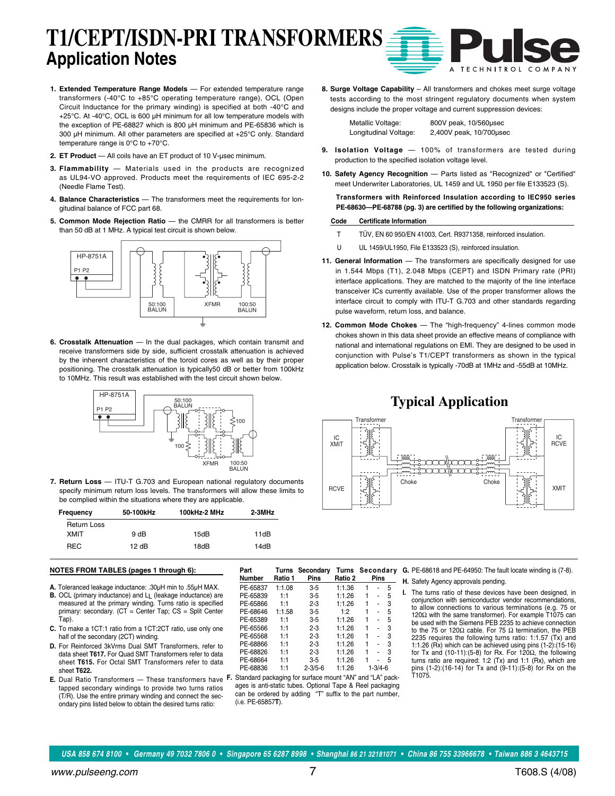# **T1/CEPT/ISDN-PRI TRANSFORMERS Application Notes**

- **1. Extended Temperature Range Models** For extended temperature range transformers (-40°C to +85°C operating temperature range), OCL (Open Circuit Inductance for the primary winding) is specified at both -40°C and +25°C. At -40°C, OCL is 600 µH minimum for all low temperature models with the exception of PE-68827 which is 800 µH minimum and PE-65836 which is 300 µH minimum. All other parameters are specified at +25°C only. Standard temperature range is 0°C to +70°C.
- **2. ET Product**  All coils have an ET product of 10 V-µsec minimum.
- **3. Flammability** Materials used in the products are recognized as UL94-VO approved. Products meet the requirements of IEC 695-2-2 (Needle Flame Test).
- **4. Balance Characteristics** The transformers meet the requirements for longitudinal balance of FCC part 68.
- **5. Common Mode Rejection Ratio** the CMRR for all transformers is better than 50 dB at 1 MHz. A typical test circuit is shown below.



**6. Crosstalk Attenuation** — In the dual packages, which contain transmit and receive transformers side by side, sufficient crosstalk attenuation is achieved by the inherent characteristics of the toroid cores as well as by their proper positioning. The crosstalk attenuation is typically50 dB or better from 100kHz to 10MHz. This result was established with the test circuit shown below.



**7. Return Loss** — ITU-T G.703 and European national regulatory documents specify minimum return loss levels. The transformers will allow these limits to be complied within the situations where they are applicable.

| Frequency          | 50-100kHz | 100kHz-2 MHz | 2-3MHz |
|--------------------|-----------|--------------|--------|
| <b>Return Loss</b> |           |              |        |
| XMIT               | 9 dB      | 15dB         | 11dB   |
| <b>REC</b>         | 12 dB     | 18dB         | 14dB   |

#### **NOTES FROM TABLES (pages 1 through 6):**

- **A.** Toleranced leakage inductance: .30µH min to .55µH MAX.
- **B.** OCL (primary inductance) and LL (leakage inductance) are measured at the primary winding. Turns ratio is specified primary: secondary. (CT = Center Tap; CS = Split Center Tap).
- **C.** To make a 1CT:1 ratio from a 1CT:2CT ratio, use only one half of the secondary (2CT) winding.
- **D.** For Reinforced 3kVrms Dual SMT Transformers, refer to data sheet **T617.** For Quad SMT Transformers refer to data sheet **T615.** For Octal SMT Transformers refer to data sheet **T622.**
- **E.** Dual Ratio Transformers These transformers have tapped secondary windings to provide two turns ratios (T/R). Use the entire primary winding and connect the secondary pins listed below to obtain the desired turns ratio:

| Part<br>Number | Turns<br>Ratio 1 | Secondary<br>Pins                                         | Turns Secondary<br>Ratio 2 |   | Pins          |   |
|----------------|------------------|-----------------------------------------------------------|----------------------------|---|---------------|---|
| PE-65837       | 1:1.08           | 3-5                                                       | 1:1.36                     | 1 |               | 5 |
| PE-65839       | 1:1              | $3 - 5$                                                   | 1:1.26                     | 1 |               | 5 |
| PE-65866       | 1:1              | $2 - 3$                                                   | 1:1.26                     | 1 |               | 3 |
| PE-68646       | 1:1.58           | 3-5                                                       | 1.2                        |   |               | 5 |
| PE-65389       | 1:1              | $3 - 5$                                                   | 1:1.26                     | 1 |               | 5 |
| PE-65566       | 1:1              | $2 - 3$                                                   | 1:1.26                     | 1 |               | 3 |
| PE-65568       | 1:1              | 2-3                                                       | 1:1.26                     |   |               | 3 |
| PE-68866       | 1:1              | $2 - 3$                                                   | 1:1.26                     | 1 |               | 3 |
| PE-68826       | 1:1              | $2 - 3$                                                   | 1:1.26                     | 1 |               | 3 |
| PE-68664       | 1:1              | 3-5                                                       | 1:1.26                     |   |               | 5 |
| PE-68836       | 1:1              | $2 - 3/5 - 6$                                             | 1:1.26                     |   | $1 - 3/4 - 6$ |   |
|                |                  | Ctandard poolcoging for qurings mount "AND and "LA" poolc |                            |   |               |   |

**F.** Standard packaging for surface mount "AN" and "LA" packages is anti-static tubes. Optional Tape & Reel packaging can be ordered by adding "T" suffix to the part number, (i.e. PE-65857**T**).

**G.** PE-68618 and PE-64950: The fault locate winding is (7-8).

**H.** Safety Agency approvals pending.

**I.** The turns ratio of these devices have been designed, in conjunction with semiconductor vendor recommendations, to allow connections to various terminations (e.g. 75 or 120Ω with the same transformer). For example T1075 can be used with the Siemens PEB 2235 to achieve connection to the 75 or 120Ω cable. For 75  $Ω$  termination, the PEB 2235 requires the following turns ratio: 1:1.57 (Tx) and 1:1.26 (Rx) which can be achieved using pins (1-2):(15-16) for Tx and (10-11):(5-8) for Rx. For 120 $\Omega$ , the following turns ratio are required: 1:2 (Tx) and 1:1 (Rx), which are pins (1-2):(16-14) for Tx and (9-11):(5-8) for Rx on the T1075.

**8. Surge Voltage Capability** – All transformers and chokes meet surge voltage tests according to the most stringent regulatory documents when system designs include the proper voltage and current suppression devices:

A

**TECHNITROL** 

| Metallic Voltage:     | 800V peak, 10/560usec   |
|-----------------------|-------------------------|
| Longitudinal Voltage: | 2,400V peak, 10/700usec |

- **9. Isolation Voltage**  100% of transformers are tested during production to the specified isolation voltage level.
- 10. Safety Agency Recognition Parts listed as "Recognized" or "Certified" meet Underwriter Laboratories, UL 1459 and UL 1950 per file E133523 (S).

**Transformers with Reinforced Insulation according to IEC950 series PE-68630—PE-68788 (pg. 3) are certified by the following organizations:**

#### **Code Certificate Information**

- T TÜV, EN 60 950/EN 41003, Cert. R9371358, reinforced insulation.
- U UL 1459/UL1950, File E133523 (S), reinforced insulation.
- **11. General Information** The transformers are specifically designed for use in 1.544 Mbps (T1), 2.048 Mbps (CEPT) and ISDN Primary rate (PRI) interface applications. They are matched to the majority of the line interface transceiver ICs currently available. Use of the proper transformer allows the interface circuit to comply with ITU-T G.703 and other standards regarding pulse waveform, return loss, and balance.
- **12. Common Mode Chokes** The "high-frequency" 4-lines common mode chokes shown in this data sheet provide an effective means of compliance with national and international regulations on EMI. They are designed to be used in conjunction with Pulse's T1/CEPT transformers as shown in the typical application below. Crosstalk is typically -70dB at 1MHz and -55dB at 10MHz.

#### **Typical Application**